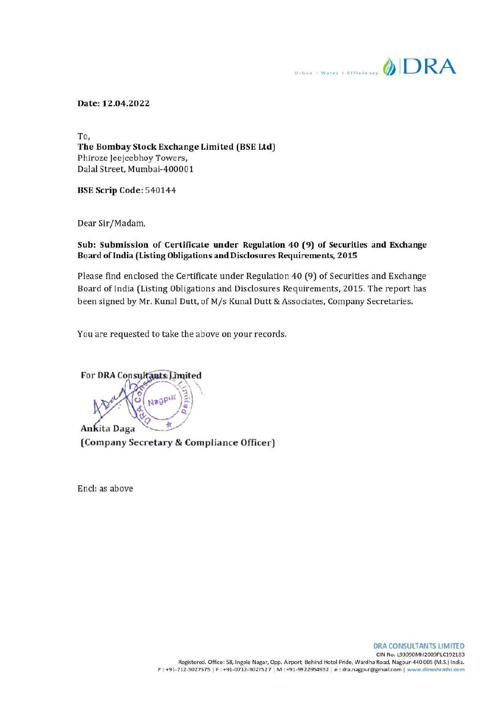$\mathbb{R}$  en articles of  $\mathbb{D}$ RA

## Date: 12.04.2022

To, The Bombay Stock Exchange Limited (BSE Ltd) Phiroze Jeejecbhoy Towers, Dalal Street, Mumbai-400001

BSE Scrip Code: 540144

Dear Sir/Madam,

## Sub: Submission of Certificate under Regulation 40 (9) of Securities and Exchange Board of India (Listing Obligations and Disclosures Requirements, 2015

Please find enclosed the Certificate under Regulation 40 (9) of Securities and Exchange Board of India (Listing Obligations and Disclosures Requirements, 2015. The report has been signed by Mr. Kunal Dutt, of M/s Kunal Dutt & Associates, Company Secretaries.

You are requested to take the above on your records.

收 Ankita Daga (Company Secretary & Compliance Officer)

Nagpur

For DRA Consultants Limited

Encl: as above

r DR.